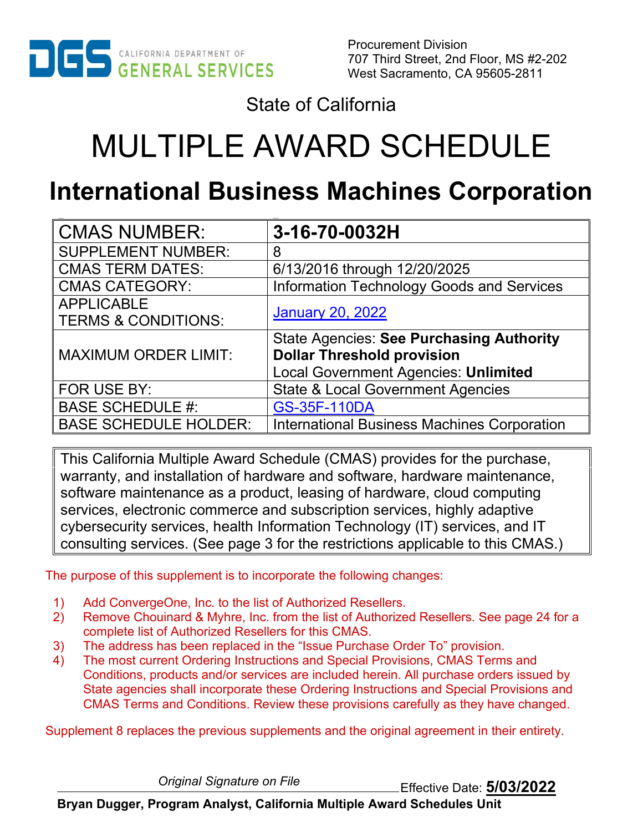

Procurement Division 707 Third Street, 2nd Floor, MS #2-202 West Sacramento, CA 95605-2811

State of California

# MULTIPLE AWARD SCHEDULE

# **International Business Machines Corporation**

| <b>CMAS NUMBER:</b>            | 3-16-70-0032H                                      |
|--------------------------------|----------------------------------------------------|
| <b>SUPPLEMENT NUMBER:</b>      | 8                                                  |
| <b>CMAS TERM DATES:</b>        | 6/13/2016 through 12/20/2025                       |
| <b>CMAS CATEGORY:</b>          | Information Technology Goods and Services          |
| <b>APPLICABLE</b>              | <b>January 20, 2022</b>                            |
| <b>TERMS &amp; CONDITIONS:</b> |                                                    |
|                                | <b>State Agencies: See Purchasing Authority</b>    |
| <b>MAXIMUM ORDER LIMIT:</b>    | <b>Dollar Threshold provision</b>                  |
|                                | <b>Local Government Agencies: Unlimited</b>        |
| FOR USE BY:                    | <b>State &amp; Local Government Agencies</b>       |
| <b>BASE SCHEDULE #:</b>        | <b>GS-35F-110DA</b>                                |
| <b>BASE SCHEDULE HOLDER:</b>   | <b>International Business Machines Corporation</b> |

This California Multiple Award Schedule (CMAS) provides for the purchase, warranty, and installation of hardware and software, hardware maintenance, software maintenance as a product, leasing of hardware, cloud computing services, electronic commerce and subscription services, highly adaptive cybersecurity services, health Information Technology (IT) services, and IT consulting services. (See page 3 for the restrictions applicable to this CMAS.)

The purpose of this supplement is to incorporate the following changes:

- 1) Add ConvergeOne, Inc. to the list of Authorized Resellers.
- 2) Remove Chouinard & Myhre, Inc. from the list of Authorized Resellers. See page 24 for a complete list of Authorized Resellers for this CMAS.
- 3) The address has been replaced in the "Issue Purchase Order To" provision.
- 4) The most current Ordering Instructions and Special Provisions, CMAS Terms and Conditions, products and/or services are included herein. All purchase orders issued by State agencies shall incorporate these Ordering Instructions and Special Provisions and CMAS Terms and Conditions. Review these provisions carefully as they have changed.

Supplement 8 replaces the previous supplements and the original agreement in their entirety.

Effective Date: **5/03/2022** *Original Signature on File*

**Bryan Dugger, Program Analyst, California Multiple Award Schedules Unit**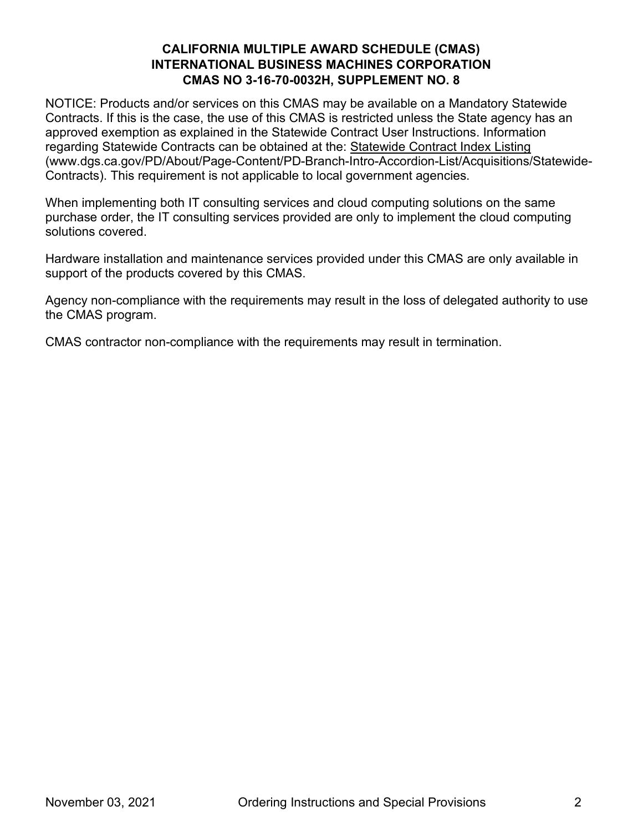NOTICE: Products and/or services on this CMAS may be available on a Mandatory Statewide Contracts. If this is the case, the use of this CMAS is restricted unless the State agency has an approved exemption as explained in the Statewide Contract User Instructions. Information regarding Statewide Contracts can be obtained at the: [Statewide Contract Index Listing](http://www.dgs.ca.gov/PD/About/Page-Content/PD-Branch-Intro-Accordion-List/Acquisitions/Statewide-Contracts) (www.dgs.ca.gov/PD/About/Page-Content/PD-Branch-Intro-Accordion-List/Acquisitions/Statewide-Contracts). This requirement is not applicable to local government agencies.

When implementing both IT consulting services and cloud computing solutions on the same purchase order, the IT consulting services provided are only to implement the cloud computing solutions covered.

Hardware installation and maintenance services provided under this CMAS are only available in support of the products covered by this CMAS.

Agency non-compliance with the requirements may result in the loss of delegated authority to use the CMAS program.

CMAS contractor non-compliance with the requirements may result in termination.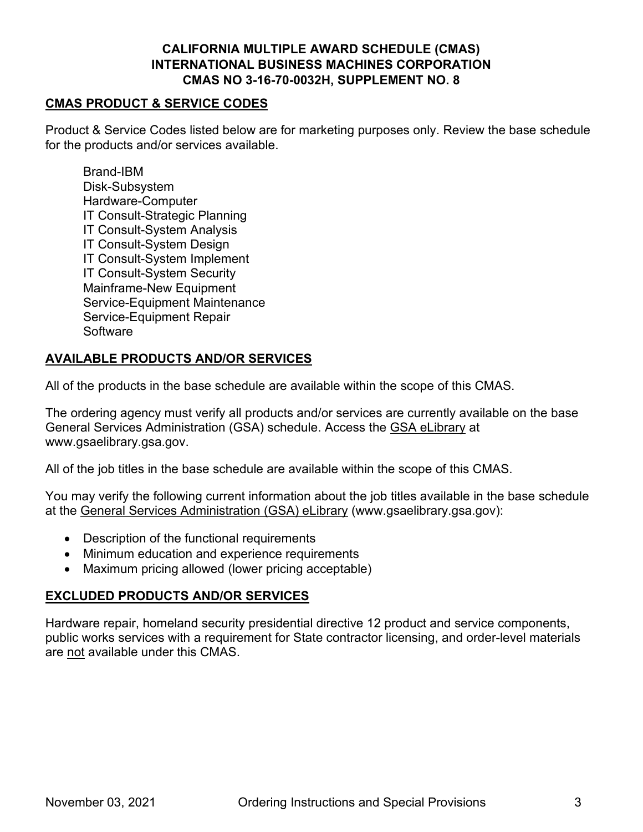# **CMAS PRODUCT & SERVICE CODES**

Product & Service Codes listed below are for marketing purposes only. Review the base schedule for the products and/or services available.

Brand-IBM Disk-Subsystem Hardware-Computer IT Consult-Strategic Planning IT Consult-System Analysis IT Consult-System Design IT Consult-System Implement IT Consult-System Security Mainframe-New Equipment Service-Equipment Maintenance Service-Equipment Repair **Software** 

# **AVAILABLE PRODUCTS AND/OR SERVICES**

All of the products in the base schedule are available within the scope of this CMAS.

The ordering agency must verify all products and/or services are currently available on the base General Services Administration (GSA) schedule. Access the [GSA eLibrary](http://www.gsaelibrary.gsa.gov/) at www.gsaelibrary.gsa.gov.

All of the job titles in the base schedule are available within the scope of this CMAS.

You may verify the following current information about the job titles available in the base schedule at the [General Services Administration \(GSA\) eLibrary](http://www.gsaelibrary.gsa.gov/) (www.gsaelibrary.gsa.gov):

- Description of the functional requirements
- Minimum education and experience requirements
- Maximum pricing allowed (lower pricing acceptable)

# **EXCLUDED PRODUCTS AND/OR SERVICES**

Hardware repair, homeland security presidential directive 12 product and service components, public works services with a requirement for State contractor licensing, and order-level materials are not available under this CMAS.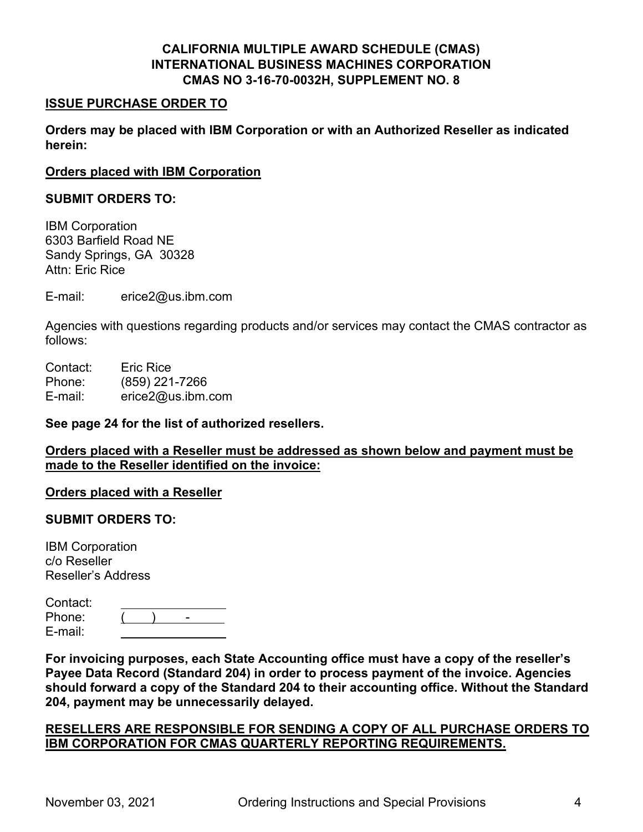#### **ISSUE PURCHASE ORDER TO**

**Orders may be placed with IBM Corporation or with an Authorized Reseller as indicated herein:** 

#### **Orders placed with IBM Corporation**

#### **SUBMIT ORDERS TO:**

IBM Corporation 6303 Barfield Road NE Sandy Springs, GA 30328 Attn: Eric Rice

E-mail: erice2@us.ibm.com

Agencies with questions regarding products and/or services may contact the CMAS contractor as follows:

Contact: Eric Rice Phone: (859) 221-7266 E-mail: erice2@us.ibm.com

#### **See page 24 for the list of authorized resellers.**

**Orders placed with a Reseller must be addressed as shown below and payment must be made to the Reseller identified on the invoice:**

#### **Orders placed with a Reseller**

#### **SUBMIT ORDERS TO:**

IBM Corporation c/o Reseller Reseller's Address

| Contact: |  |  |
|----------|--|--|
| Phone:   |  |  |
| E-mail:  |  |  |

**For invoicing purposes, each State Accounting office must have a copy of the reseller's Payee Data Record (Standard 204) in order to process payment of the invoice. Agencies should forward a copy of the Standard 204 to their accounting office. Without the Standard 204, payment may be unnecessarily delayed.**

# **RESELLERS ARE RESPONSIBLE FOR SENDING A COPY OF ALL PURCHASE ORDERS TO IBM CORPORATION FOR CMAS QUARTERLY REPORTING REQUIREMENTS.**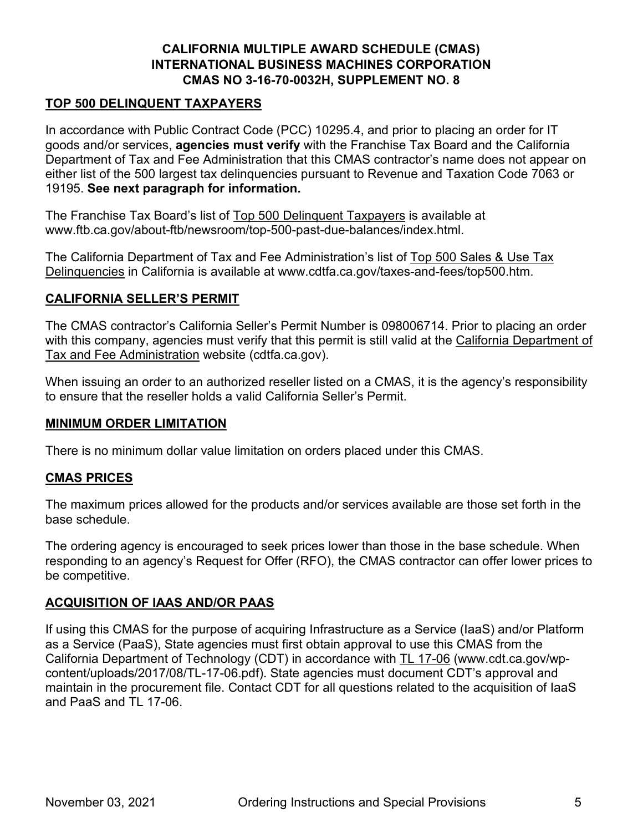# **TOP 500 DELINQUENT TAXPAYERS**

In accordance with Public Contract Code (PCC) 10295.4, and prior to placing an order for IT goods and/or services, **agencies must verify** with the Franchise Tax Board and the California Department of Tax and Fee Administration that this CMAS contractor's name does not appear on either list of the 500 largest tax delinquencies pursuant to Revenue and Taxation Code 7063 or 19195. **See next paragraph for information.**

The Franchise Tax Board's list of [Top 500 Delinquent Taxpayers](https://www.ftb.ca.gov/about-ftb/newsroom/top-500-past-due-balances/index.html) is available at www.ftb.ca.gov/about-ftb/newsroom/top-500-past-due-balances/index.html.

The California Department of Tax and Fee Administration's list of [Top 500 Sales &](http://www.cdtfa.ca.gov/taxes-and-fees/top500.htm) Use Tax [Delinquencies](http://www.cdtfa.ca.gov/taxes-and-fees/top500.htm) in California is available at www.cdtfa.ca.gov/taxes-and-fees/top500.htm.

# **CALIFORNIA SELLER'S PERMIT**

The CMAS contractor's California Seller's Permit Number is 098006714. Prior to placing an order with this company, agencies must verify that this permit is still valid at the [California Department of](http://cdtfa.ca.gov/)  [Tax and Fee Administration](http://cdtfa.ca.gov/) website (cdtfa.ca.gov).

When issuing an order to an authorized reseller listed on a CMAS, it is the agency's responsibility to ensure that the reseller holds a valid California Seller's Permit.

# **MINIMUM ORDER LIMITATION**

There is no minimum dollar value limitation on orders placed under this CMAS.

# **CMAS PRICES**

The maximum prices allowed for the products and/or services available are those set forth in the base schedule.

The ordering agency is encouraged to seek prices lower than those in the base schedule. When responding to an agency's Request for Offer (RFO), the CMAS contractor can offer lower prices to be competitive.

# **ACQUISITION OF IAAS AND/OR PAAS**

If using this CMAS for the purpose of acquiring Infrastructure as a Service (IaaS) and/or Platform as a Service (PaaS), State agencies must first obtain approval to use this CMAS from the California Department of Technology (CDT) in accordance with [TL 17-06](https://cdt.ca.gov/wp-content/uploads/2017/08/TL-17-06.pdf) (www.cdt.ca.gov/wpcontent/uploads/2017/08/TL-17-06.pdf). State agencies must document CDT's approval and maintain in the procurement file. Contact CDT for all questions related to the acquisition of IaaS and PaaS and TL 17-06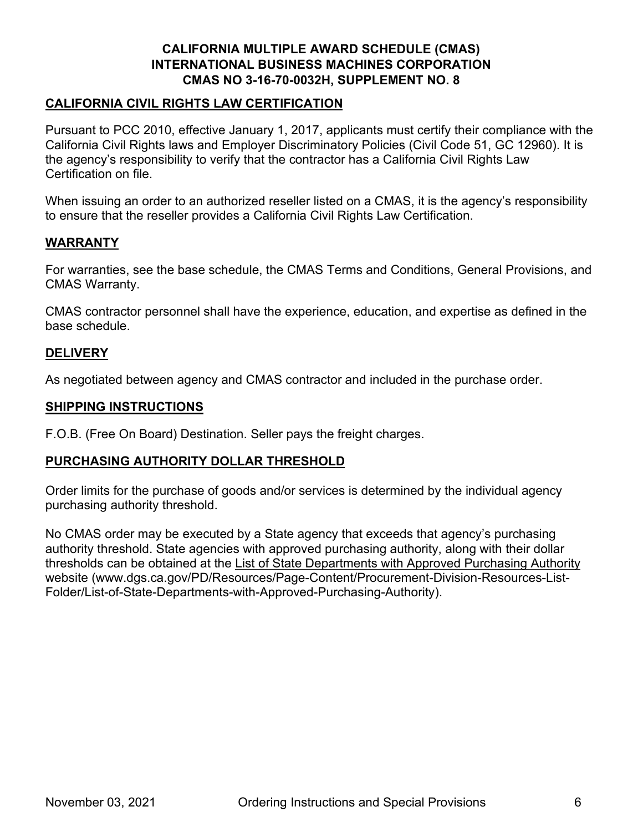# **CALIFORNIA CIVIL RIGHTS LAW CERTIFICATION**

Pursuant to PCC 2010, effective January 1, 2017, applicants must certify their compliance with the California Civil Rights laws and Employer Discriminatory Policies (Civil Code 51, GC 12960). It is the agency's responsibility to verify that the contractor has a California Civil Rights Law Certification on file.

When issuing an order to an authorized reseller listed on a CMAS, it is the agency's responsibility to ensure that the reseller provides a California Civil Rights Law Certification.

# **WARRANTY**

For warranties, see the base schedule, the CMAS Terms and Conditions, General Provisions, and CMAS Warranty.

CMAS contractor personnel shall have the experience, education, and expertise as defined in the base schedule.

# **DELIVERY**

As negotiated between agency and CMAS contractor and included in the purchase order.

#### **SHIPPING INSTRUCTIONS**

F.O.B. (Free On Board) Destination. Seller pays the freight charges.

# **PURCHASING AUTHORITY DOLLAR THRESHOLD**

Order limits for the purchase of goods and/or services is determined by the individual agency purchasing authority threshold.

No CMAS order may be executed by a State agency that exceeds that agency's purchasing authority threshold. State agencies with approved purchasing authority, along with their dollar thresholds can be obtained at the [List of State Departments with Approved Purchasing Authority](https://www.dgs.ca.gov/PD/Resources/Page-Content/Procurement-Division-Resources-List-Folder/List-of-State-Departments-with-Approved-Purchasing-Authority) website (www.dgs.ca.gov/PD/Resources/Page-Content/Procurement-Division-Resources-List-Folder/List-of-State-Departments-with-Approved-Purchasing-Authority).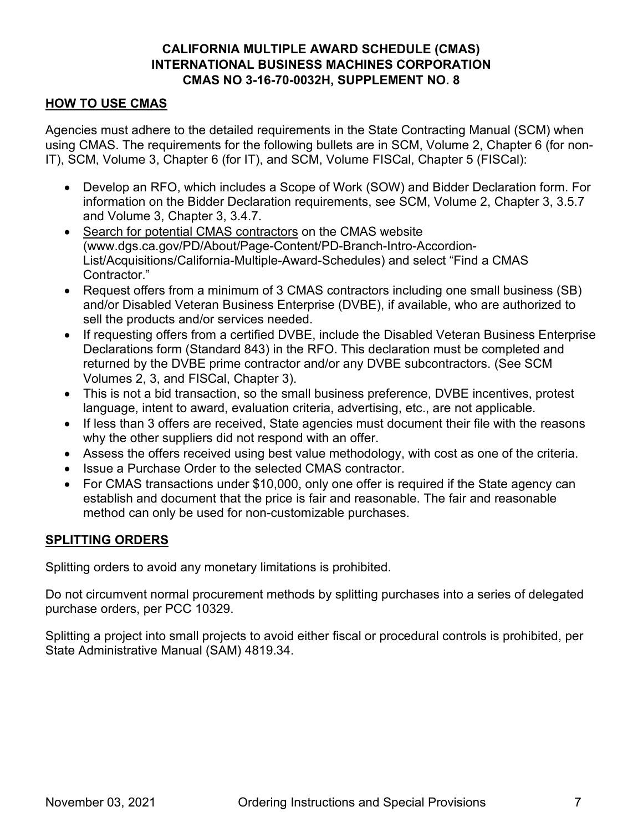# **HOW TO USE CMAS**

Agencies must adhere to the detailed requirements in the State Contracting Manual (SCM) when using CMAS. The requirements for the following bullets are in SCM, Volume 2, Chapter 6 (for non-IT), SCM, Volume 3, Chapter 6 (for IT), and SCM, Volume FISCal, Chapter 5 (FISCal):

- Develop an RFO, which includes a Scope of Work (SOW) and Bidder Declaration form. For information on the Bidder Declaration requirements, see SCM, Volume 2, Chapter 3, 3.5.7 and Volume 3, Chapter 3, 3.4.7.
- [Search for potential CMAS contractors](https://www.dgs.ca.gov/PD/About/Page-Content/PD-Branch-Intro-Accordion-List/Acquisitions/California-Multiple-Award-Schedules) on the CMAS website (www.dgs.ca.gov/PD/About/Page-Content/PD-Branch-Intro-Accordion-List/Acquisitions/California-Multiple-Award-Schedules) and select "Find a CMAS Contractor."
- Request offers from a minimum of 3 CMAS contractors including one small business (SB) and/or Disabled Veteran Business Enterprise (DVBE), if available, who are authorized to sell the products and/or services needed.
- If requesting offers from a certified DVBE, include the Disabled Veteran Business Enterprise Declarations form (Standard 843) in the RFO. This declaration must be completed and returned by the DVBE prime contractor and/or any DVBE subcontractors. (See SCM Volumes 2, 3, and FISCal, Chapter 3).
- This is not a bid transaction, so the small business preference, DVBE incentives, protest language, intent to award, evaluation criteria, advertising, etc., are not applicable.
- If less than 3 offers are received, State agencies must document their file with the reasons why the other suppliers did not respond with an offer.
- Assess the offers received using best value methodology, with cost as one of the criteria.
- Issue a Purchase Order to the selected CMAS contractor.
- For CMAS transactions under \$10,000, only one offer is required if the State agency can establish and document that the price is fair and reasonable. The fair and reasonable method can only be used for non-customizable purchases.

# **SPLITTING ORDERS**

Splitting orders to avoid any monetary limitations is prohibited.

Do not circumvent normal procurement methods by splitting purchases into a series of delegated purchase orders, per PCC 10329.

Splitting a project into small projects to avoid either fiscal or procedural controls is prohibited, per State Administrative Manual (SAM) 4819.34.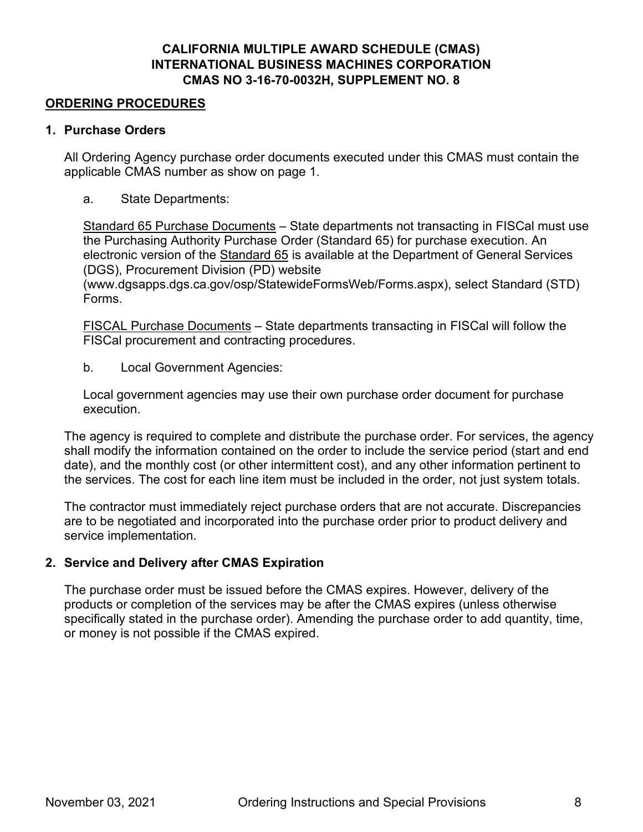#### **ORDERING PROCEDURES**

#### **1. Purchase Orders**

All Ordering Agency purchase order documents executed under this CMAS must contain the applicable CMAS number as show on page 1.

a. State Departments:

Standard 65 Purchase Documents – State departments not transacting in FISCal must use the Purchasing Authority Purchase Order (Standard 65) for purchase execution. An electronic version of the [Standard 65](https://www.dgsapps.dgs.ca.gov/osp/StatewideFormsWeb/Forms.aspx) is available at the Department of General Services (DGS), Procurement Division (PD) website

(www.dgsapps.dgs.ca.gov/osp/StatewideFormsWeb/Forms.aspx), select Standard (STD) Forms.

FISCAL Purchase Documents – State departments transacting in FISCal will follow the FISCal procurement and contracting procedures.

b. Local Government Agencies:

Local government agencies may use their own purchase order document for purchase execution.

The agency is required to complete and distribute the purchase order. For services, the agency shall modify the information contained on the order to include the service period (start and end date), and the monthly cost (or other intermittent cost), and any other information pertinent to the services. The cost for each line item must be included in the order, not just system totals.

The contractor must immediately reject purchase orders that are not accurate. Discrepancies are to be negotiated and incorporated into the purchase order prior to product delivery and service implementation.

# **2. Service and Delivery after CMAS Expiration**

The purchase order must be issued before the CMAS expires. However, delivery of the products or completion of the services may be after the CMAS expires (unless otherwise specifically stated in the purchase order). Amending the purchase order to add quantity, time, or money is not possible if the CMAS expired.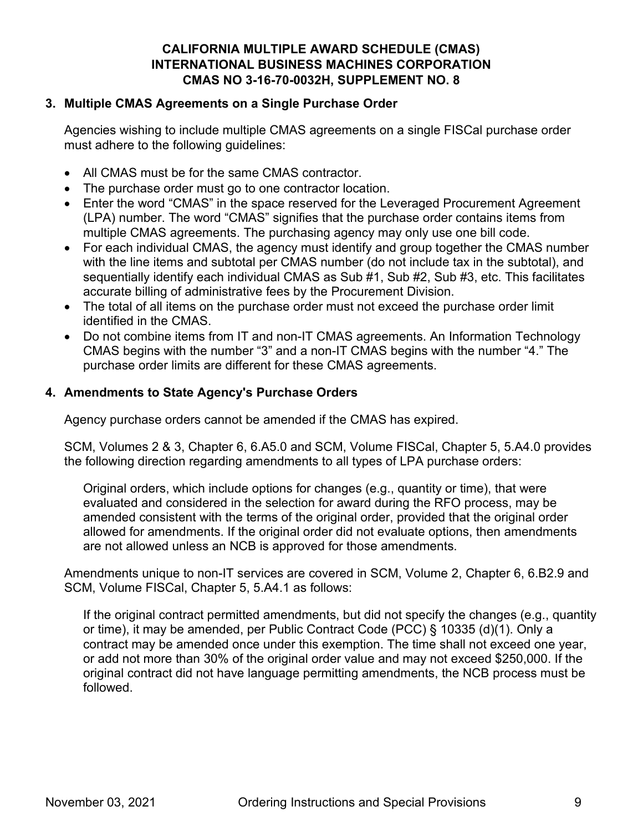# **3. Multiple CMAS Agreements on a Single Purchase Order**

Agencies wishing to include multiple CMAS agreements on a single FISCal purchase order must adhere to the following guidelines:

- All CMAS must be for the same CMAS contractor.
- The purchase order must go to one contractor location.
- Enter the word "CMAS" in the space reserved for the Leveraged Procurement Agreement (LPA) number. The word "CMAS" signifies that the purchase order contains items from multiple CMAS agreements. The purchasing agency may only use one bill code.
- For each individual CMAS, the agency must identify and group together the CMAS number with the line items and subtotal per CMAS number (do not include tax in the subtotal), and sequentially identify each individual CMAS as Sub #1, Sub #2, Sub #3, etc. This facilitates accurate billing of administrative fees by the Procurement Division.
- The total of all items on the purchase order must not exceed the purchase order limit identified in the CMAS.
- Do not combine items from IT and non-IT CMAS agreements. An Information Technology CMAS begins with the number "3" and a non-IT CMAS begins with the number "4." The purchase order limits are different for these CMAS agreements.

# **4. Amendments to State Agency's Purchase Orders**

Agency purchase orders cannot be amended if the CMAS has expired.

SCM, Volumes 2 & 3, Chapter 6, 6.A5.0 and SCM, Volume FISCal, Chapter 5, 5.A4.0 provides the following direction regarding amendments to all types of LPA purchase orders:

Original orders, which include options for changes (e.g., quantity or time), that were evaluated and considered in the selection for award during the RFO process, may be amended consistent with the terms of the original order, provided that the original order allowed for amendments. If the original order did not evaluate options, then amendments are not allowed unless an NCB is approved for those amendments.

Amendments unique to non-IT services are covered in SCM, Volume 2, Chapter 6, 6.B2.9 and SCM, Volume FISCal, Chapter 5, 5.A4.1 as follows:

If the original contract permitted amendments, but did not specify the changes (e.g., quantity or time), it may be amended, per Public Contract Code (PCC) § 10335 (d)(1). Only a contract may be amended once under this exemption. The time shall not exceed one year, or add not more than 30% of the original order value and may not exceed \$250,000. If the original contract did not have language permitting amendments, the NCB process must be followed.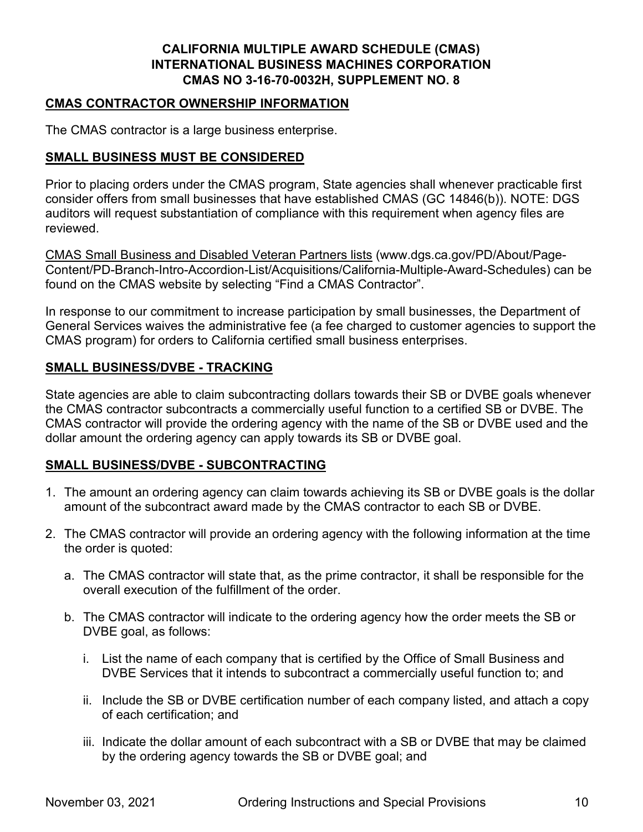# **CMAS CONTRACTOR OWNERSHIP INFORMATION**

The CMAS contractor is a large business enterprise.

# **SMALL BUSINESS MUST BE CONSIDERED**

Prior to placing orders under the CMAS program, State agencies shall whenever practicable first consider offers from small businesses that have established CMAS (GC 14846(b)). NOTE: DGS auditors will request substantiation of compliance with this requirement when agency files are reviewed.

[CMAS Small Business and Disabled Veteran Partners lists](https://www.dgs.ca.gov/PD/About/Page-Content/PD-Branch-Intro-Accordion-List/Acquisitions/California-Multiple-Award-Schedules) (www.dgs.ca.gov/PD/About/Page-Content/PD-Branch-Intro-Accordion-List/Acquisitions/California-Multiple-Award-Schedules) can be found on the CMAS website by selecting "Find a CMAS Contractor".

In response to our commitment to increase participation by small businesses, the Department of General Services waives the administrative fee (a fee charged to customer agencies to support the CMAS program) for orders to California certified small business enterprises.

# **SMALL BUSINESS/DVBE - TRACKING**

State agencies are able to claim subcontracting dollars towards their SB or DVBE goals whenever the CMAS contractor subcontracts a commercially useful function to a certified SB or DVBE. The CMAS contractor will provide the ordering agency with the name of the SB or DVBE used and the dollar amount the ordering agency can apply towards its SB or DVBE goal.

# **SMALL BUSINESS/DVBE - SUBCONTRACTING**

- 1. The amount an ordering agency can claim towards achieving its SB or DVBE goals is the dollar amount of the subcontract award made by the CMAS contractor to each SB or DVBE.
- 2. The CMAS contractor will provide an ordering agency with the following information at the time the order is quoted:
	- a. The CMAS contractor will state that, as the prime contractor, it shall be responsible for the overall execution of the fulfillment of the order.
	- b. The CMAS contractor will indicate to the ordering agency how the order meets the SB or DVBE goal, as follows:
		- i. List the name of each company that is certified by the Office of Small Business and DVBE Services that it intends to subcontract a commercially useful function to; and
		- ii. Include the SB or DVBE certification number of each company listed, and attach a copy of each certification; and
		- iii. Indicate the dollar amount of each subcontract with a SB or DVBE that may be claimed by the ordering agency towards the SB or DVBE goal; and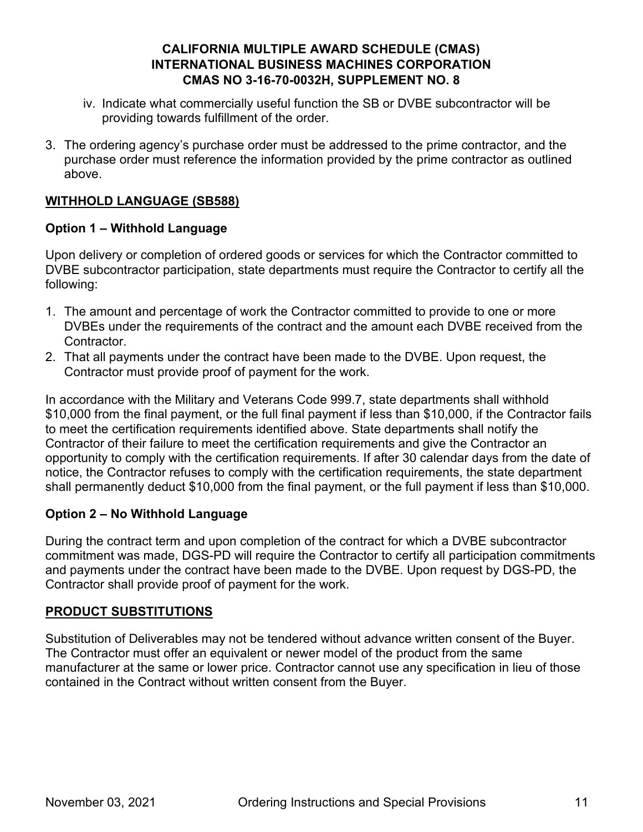- iv. Indicate what commercially useful function the SB or DVBE subcontractor will be providing towards fulfillment of the order.
- 3. The ordering agency's purchase order must be addressed to the prime contractor, and the purchase order must reference the information provided by the prime contractor as outlined above.

# **WITHHOLD LANGUAGE (SB588)**

# **Option 1 – Withhold Language**

Upon delivery or completion of ordered goods or services for which the Contractor committed to DVBE subcontractor participation, state departments must require the Contractor to certify all the following:

- 1. The amount and percentage of work the Contractor committed to provide to one or more DVBEs under the requirements of the contract and the amount each DVBE received from the Contractor.
- 2. That all payments under the contract have been made to the DVBE. Upon request, the Contractor must provide proof of payment for the work.

In accordance with the Military and Veterans Code 999.7, state departments shall withhold \$10,000 from the final payment, or the full final payment if less than \$10,000, if the Contractor fails to meet the certification requirements identified above. State departments shall notify the Contractor of their failure to meet the certification requirements and give the Contractor an opportunity to comply with the certification requirements. If after 30 calendar days from the date of notice, the Contractor refuses to comply with the certification requirements, the state department shall permanently deduct \$10,000 from the final payment, or the full payment if less than \$10,000.

# **Option 2 – No Withhold Language**

During the contract term and upon completion of the contract for which a DVBE subcontractor commitment was made, DGS-PD will require the Contractor to certify all participation commitments and payments under the contract have been made to the DVBE. Upon request by DGS-PD, the Contractor shall provide proof of payment for the work.

# **PRODUCT SUBSTITUTIONS**

Substitution of Deliverables may not be tendered without advance written consent of the Buyer. The Contractor must offer an equivalent or newer model of the product from the same manufacturer at the same or lower price. Contractor cannot use any specification in lieu of those contained in the Contract without written consent from the Buyer.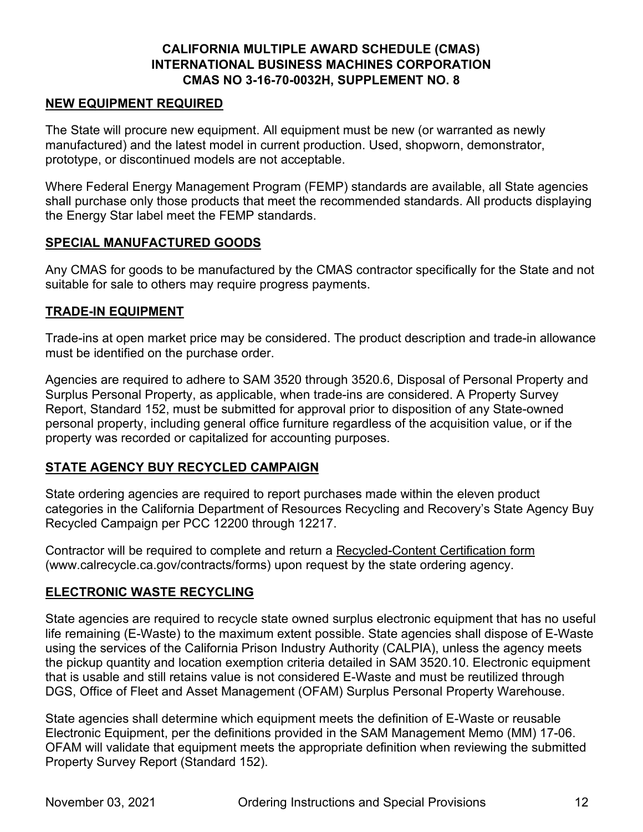# **NEW EQUIPMENT REQUIRED**

The State will procure new equipment. All equipment must be new (or warranted as newly manufactured) and the latest model in current production. Used, shopworn, demonstrator, prototype, or discontinued models are not acceptable.

Where Federal Energy Management Program (FEMP) standards are available, all State agencies shall purchase only those products that meet the recommended standards. All products displaying the Energy Star label meet the FEMP standards.

# **SPECIAL MANUFACTURED GOODS**

Any CMAS for goods to be manufactured by the CMAS contractor specifically for the State and not suitable for sale to others may require progress payments.

# **TRADE-IN EQUIPMENT**

Trade-ins at open market price may be considered. The product description and trade-in allowance must be identified on the purchase order.

Agencies are required to adhere to SAM 3520 through 3520.6, Disposal of Personal Property and Surplus Personal Property, as applicable, when trade-ins are considered. A Property Survey Report, Standard 152, must be submitted for approval prior to disposition of any State-owned personal property, including general office furniture regardless of the acquisition value, or if the property was recorded or capitalized for accounting purposes.

# **STATE AGENCY BUY RECYCLED CAMPAIGN**

State ordering agencies are required to report purchases made within the eleven product categories in the California Department of Resources Recycling and Recovery's State Agency Buy Recycled Campaign per PCC 12200 through 12217.

Contractor will be required to complete and return a [Recycled-Content Certification form](https://www.calrecycle.ca.gov/contracts/forms) (www.calrecycle.ca.gov/contracts/forms) upon request by the state ordering agency.

# **ELECTRONIC WASTE RECYCLING**

State agencies are required to recycle state owned surplus electronic equipment that has no useful life remaining (E-Waste) to the maximum extent possible. State agencies shall dispose of E-Waste using the services of the California Prison Industry Authority (CALPIA), unless the agency meets the pickup quantity and location exemption criteria detailed in SAM 3520.10. Electronic equipment that is usable and still retains value is not considered E-Waste and must be reutilized through DGS, Office of Fleet and Asset Management (OFAM) Surplus Personal Property Warehouse.

State agencies shall determine which equipment meets the definition of E-Waste or reusable Electronic Equipment, per the definitions provided in the SAM Management Memo (MM) 17-06. OFAM will validate that equipment meets the appropriate definition when reviewing the submitted Property Survey Report (Standard 152).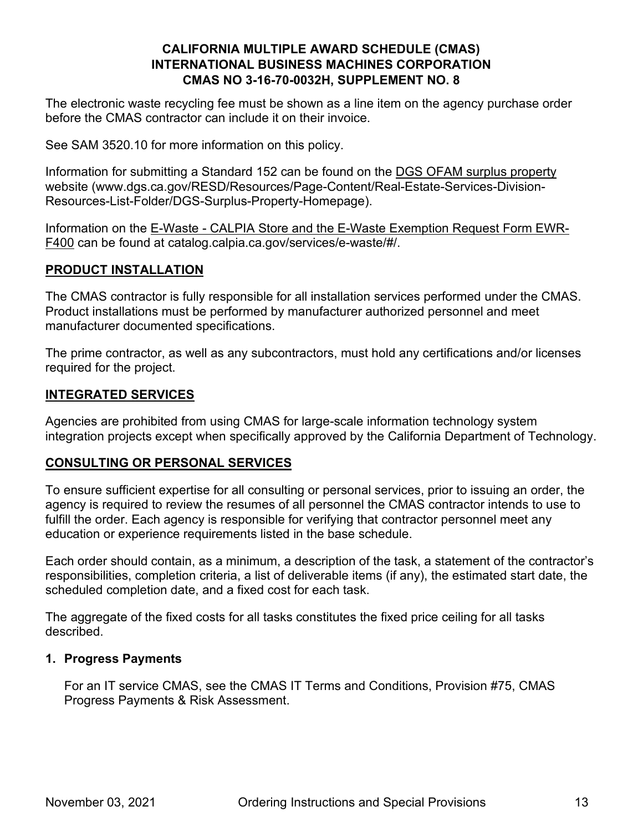The electronic waste recycling fee must be shown as a line item on the agency purchase order before the CMAS contractor can include it on their invoice.

See SAM 3520.10 for more information on this policy.

Information for submitting a Standard 152 can be found on the [DGS OFAM surplus property](https://www.dgs.ca.gov/RESD/Resources/Page-Content/Real-Estate-Services-Division-Resources-List-Folder/DGS-Surplus-Property-Homepage) website (www.dgs.ca.gov/RESD/Resources/Page-Content/Real-Estate-Services-Division-Resources-List-Folder/DGS-Surplus-Property-Homepage).

Information on the [E-Waste - CALPIA Store and the E-Waste Exemption Request Form EWR-](https://catalog.calpia.ca.gov/services/e-waste/#/)[F400](https://catalog.calpia.ca.gov/services/e-waste/#/) can be found at catalog.calpia.ca.gov/services/e-waste/#/.

# **PRODUCT INSTALLATION**

The CMAS contractor is fully responsible for all installation services performed under the CMAS. Product installations must be performed by manufacturer authorized personnel and meet manufacturer documented specifications.

The prime contractor, as well as any subcontractors, must hold any certifications and/or licenses required for the project.

# **INTEGRATED SERVICES**

Agencies are prohibited from using CMAS for large-scale information technology system integration projects except when specifically approved by the California Department of Technology.

# **CONSULTING OR PERSONAL SERVICES**

To ensure sufficient expertise for all consulting or personal services, prior to issuing an order, the agency is required to review the resumes of all personnel the CMAS contractor intends to use to fulfill the order. Each agency is responsible for verifying that contractor personnel meet any education or experience requirements listed in the base schedule.

Each order should contain, as a minimum, a description of the task, a statement of the contractor's responsibilities, completion criteria, a list of deliverable items (if any), the estimated start date, the scheduled completion date, and a fixed cost for each task.

The aggregate of the fixed costs for all tasks constitutes the fixed price ceiling for all tasks described.

# **1. Progress Payments**

For an IT service CMAS, see the CMAS IT Terms and Conditions, Provision #75, CMAS Progress Payments & Risk Assessment.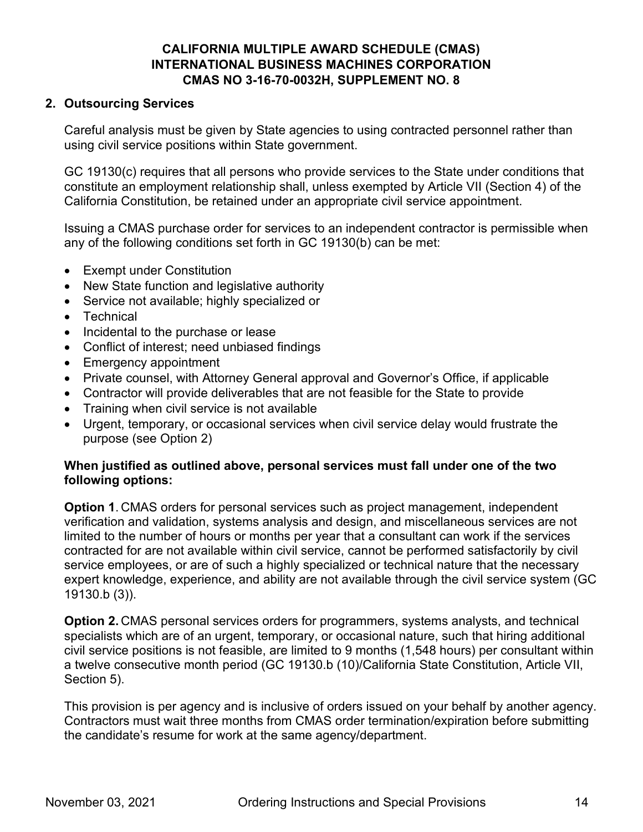# **2. Outsourcing Services**

Careful analysis must be given by State agencies to using contracted personnel rather than using civil service positions within State government.

GC 19130(c) requires that all persons who provide services to the State under conditions that constitute an employment relationship shall, unless exempted by Article VII (Section 4) of the California Constitution, be retained under an appropriate civil service appointment.

Issuing a CMAS purchase order for services to an independent contractor is permissible when any of the following conditions set forth in GC 19130(b) can be met:

- Exempt under Constitution
- New State function and legislative authority
- Service not available: highly specialized or
- Technical
- Incidental to the purchase or lease
- Conflict of interest; need unbiased findings
- Emergency appointment
- Private counsel, with Attorney General approval and Governor's Office, if applicable
- Contractor will provide deliverables that are not feasible for the State to provide
- Training when civil service is not available
- Urgent, temporary, or occasional services when civil service delay would frustrate the purpose (see Option 2)

# **When justified as outlined above, personal services must fall under one of the two following options:**

**Option 1**. CMAS orders for personal services such as project management, independent verification and validation, systems analysis and design, and miscellaneous services are not limited to the number of hours or months per year that a consultant can work if the services contracted for are not available within civil service, cannot be performed satisfactorily by civil service employees, or are of such a highly specialized or technical nature that the necessary expert knowledge, experience, and ability are not available through the civil service system (GC 19130.b (3)).

**Option 2.** CMAS personal services orders for programmers, systems analysts, and technical specialists which are of an urgent, temporary, or occasional nature, such that hiring additional civil service positions is not feasible, are limited to 9 months (1,548 hours) per consultant within a twelve consecutive month period (GC 19130.b (10)/California State Constitution, Article VII, Section 5).

This provision is per agency and is inclusive of orders issued on your behalf by another agency. Contractors must wait three months from CMAS order termination/expiration before submitting the candidate's resume for work at the same agency/department.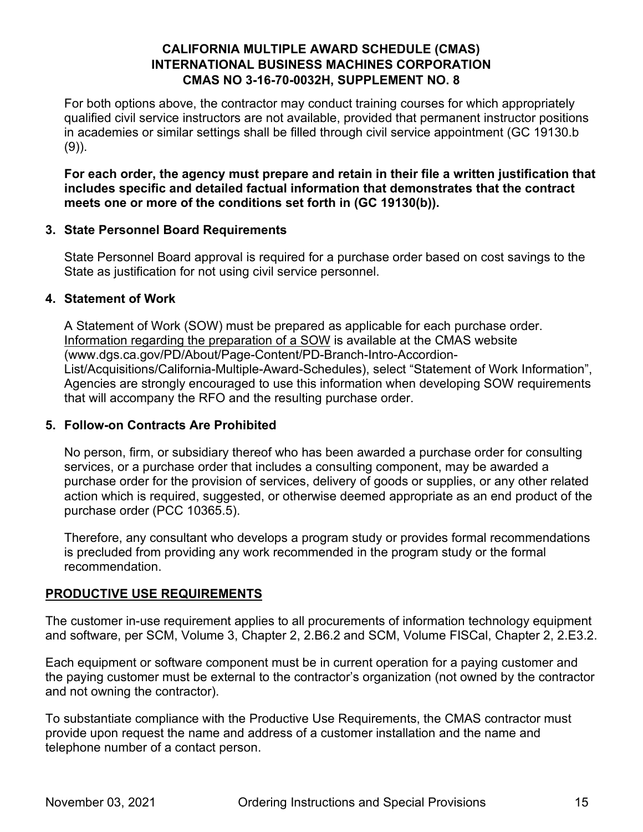For both options above, the contractor may conduct training courses for which appropriately qualified civil service instructors are not available, provided that permanent instructor positions in academies or similar settings shall be filled through civil service appointment (GC 19130.b (9)).

**For each order, the agency must prepare and retain in their file a written justification that includes specific and detailed factual information that demonstrates that the contract meets one or more of the conditions set forth in (GC 19130(b)).** 

# **3. State Personnel Board Requirements**

State Personnel Board approval is required for a purchase order based on cost savings to the State as justification for not using civil service personnel.

# **4. Statement of Work**

A Statement of Work (SOW) must be prepared as applicable for each purchase order. [Information regarding the preparation of a SOW](http://www.dgs.ca.gov/PD/About/Page-Content/PD-Branch-Intro-Accordion-List/Acquisitions/California-Multiple-Award-Schedules) is available at the CMAS website (www.dgs.ca.gov/PD/About/Page-Content/PD-Branch-Intro-Accordion-List/Acquisitions/California-Multiple-Award-Schedules), select "Statement of Work Information", Agencies are strongly encouraged to use this information when developing SOW requirements that will accompany the RFO and the resulting purchase order.

# **5. Follow-on Contracts Are Prohibited**

No person, firm, or subsidiary thereof who has been awarded a purchase order for consulting services, or a purchase order that includes a consulting component, may be awarded a purchase order for the provision of services, delivery of goods or supplies, or any other related action which is required, suggested, or otherwise deemed appropriate as an end product of the purchase order (PCC 10365.5).

Therefore, any consultant who develops a program study or provides formal recommendations is precluded from providing any work recommended in the program study or the formal recommendation.

# **PRODUCTIVE USE REQUIREMENTS**

The customer in-use requirement applies to all procurements of information technology equipment and software, per SCM, Volume 3, Chapter 2, 2.B6.2 and SCM, Volume FISCal, Chapter 2, 2.E3.2.

Each equipment or software component must be in current operation for a paying customer and the paying customer must be external to the contractor's organization (not owned by the contractor and not owning the contractor).

To substantiate compliance with the Productive Use Requirements, the CMAS contractor must provide upon request the name and address of a customer installation and the name and telephone number of a contact person.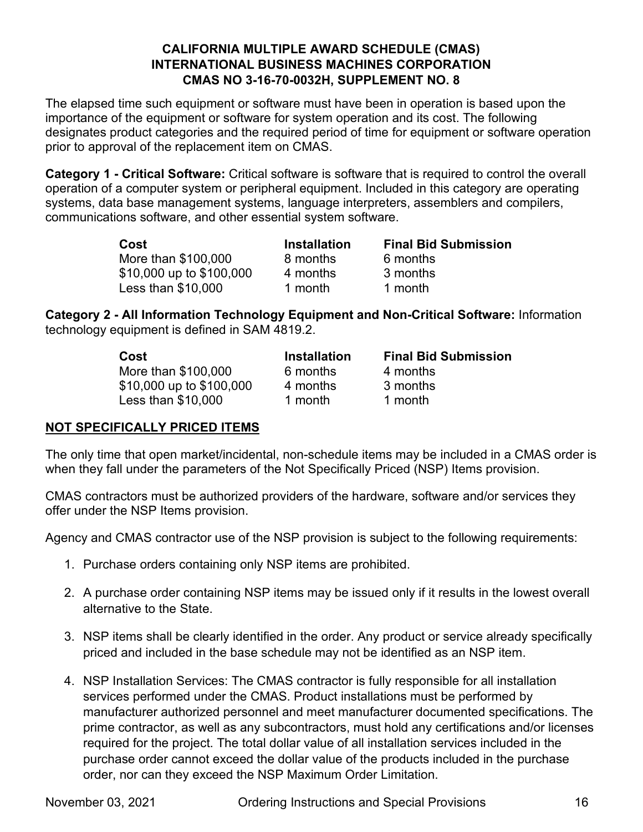The elapsed time such equipment or software must have been in operation is based upon the importance of the equipment or software for system operation and its cost. The following designates product categories and the required period of time for equipment or software operation prior to approval of the replacement item on CMAS.

**Category 1 - Critical Software:** Critical software is software that is required to control the overall operation of a computer system or peripheral equipment. Included in this category are operating systems, data base management systems, language interpreters, assemblers and compilers, communications software, and other essential system software.

| Cost                     | <b>Installation</b> | <b>Final Bid Submission</b> |
|--------------------------|---------------------|-----------------------------|
| More than \$100,000      | 8 months            | 6 months                    |
| \$10,000 up to \$100,000 | 4 months            | 3 months                    |
| Less than \$10,000       | 1 month             | 1 month                     |

**Category 2 - All Information Technology Equipment and Non-Critical Software:** Information technology equipment is defined in SAM 4819.2.

| Cost                     | <b>Installation</b> | <b>Final Bid Submission</b> |
|--------------------------|---------------------|-----------------------------|
| More than \$100,000      | 6 months            | 4 months                    |
| \$10,000 up to \$100,000 | 4 months            | 3 months                    |
| Less than \$10,000       | 1 month             | 1 month                     |

# **NOT SPECIFICALLY PRICED ITEMS**

The only time that open market/incidental, non-schedule items may be included in a CMAS order is when they fall under the parameters of the Not Specifically Priced (NSP) Items provision.

CMAS contractors must be authorized providers of the hardware, software and/or services they offer under the NSP Items provision.

Agency and CMAS contractor use of the NSP provision is subject to the following requirements:

- 1. Purchase orders containing only NSP items are prohibited.
- 2. A purchase order containing NSP items may be issued only if it results in the lowest overall alternative to the State.
- 3. NSP items shall be clearly identified in the order. Any product or service already specifically priced and included in the base schedule may not be identified as an NSP item.
- 4. NSP Installation Services: The CMAS contractor is fully responsible for all installation services performed under the CMAS. Product installations must be performed by manufacturer authorized personnel and meet manufacturer documented specifications. The prime contractor, as well as any subcontractors, must hold any certifications and/or licenses required for the project. The total dollar value of all installation services included in the purchase order cannot exceed the dollar value of the products included in the purchase order, nor can they exceed the NSP Maximum Order Limitation.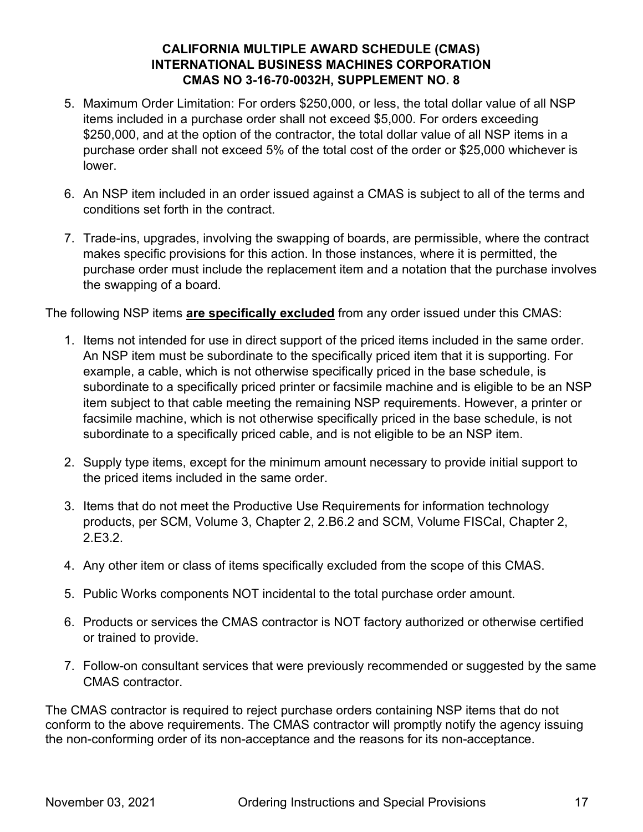- 5. Maximum Order Limitation: For orders \$250,000, or less, the total dollar value of all NSP items included in a purchase order shall not exceed \$5,000. For orders exceeding \$250,000, and at the option of the contractor, the total dollar value of all NSP items in a purchase order shall not exceed 5% of the total cost of the order or \$25,000 whichever is lower.
- 6. An NSP item included in an order issued against a CMAS is subject to all of the terms and conditions set forth in the contract.
- 7. Trade-ins, upgrades, involving the swapping of boards, are permissible, where the contract makes specific provisions for this action. In those instances, where it is permitted, the purchase order must include the replacement item and a notation that the purchase involves the swapping of a board.

The following NSP items **are specifically excluded** from any order issued under this CMAS:

- 1. Items not intended for use in direct support of the priced items included in the same order. An NSP item must be subordinate to the specifically priced item that it is supporting. For example, a cable, which is not otherwise specifically priced in the base schedule, is subordinate to a specifically priced printer or facsimile machine and is eligible to be an NSP item subject to that cable meeting the remaining NSP requirements. However, a printer or facsimile machine, which is not otherwise specifically priced in the base schedule, is not subordinate to a specifically priced cable, and is not eligible to be an NSP item.
- 2. Supply type items, except for the minimum amount necessary to provide initial support to the priced items included in the same order.
- 3. Items that do not meet the Productive Use Requirements for information technology products, per SCM, Volume 3, Chapter 2, 2.B6.2 and SCM, Volume FISCal, Chapter 2, 2.E3.2.
- 4. Any other item or class of items specifically excluded from the scope of this CMAS.
- 5. Public Works components NOT incidental to the total purchase order amount.
- 6. Products or services the CMAS contractor is NOT factory authorized or otherwise certified or trained to provide.
- 7. Follow-on consultant services that were previously recommended or suggested by the same CMAS contractor.

The CMAS contractor is required to reject purchase orders containing NSP items that do not conform to the above requirements. The CMAS contractor will promptly notify the agency issuing the non-conforming order of its non-acceptance and the reasons for its non-acceptance.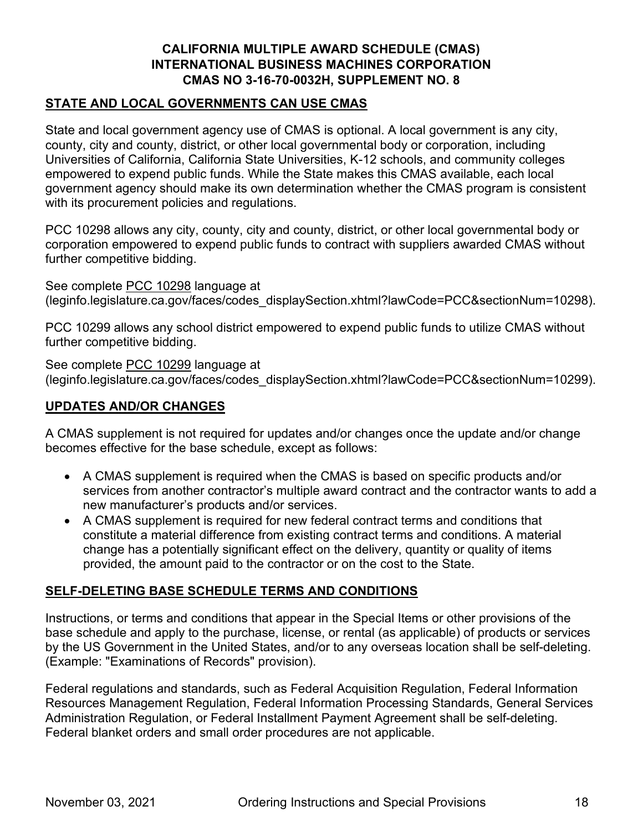# **STATE AND LOCAL GOVERNMENTS CAN USE CMAS**

State and local government agency use of CMAS is optional. A local government is any city, county, city and county, district, or other local governmental body or corporation, including Universities of California, California State Universities, K-12 schools, and community colleges empowered to expend public funds. While the State makes this CMAS available, each local government agency should make its own determination whether the CMAS program is consistent with its procurement policies and regulations.

PCC 10298 allows any city, county, city and county, district, or other local governmental body or corporation empowered to expend public funds to contract with suppliers awarded CMAS without further competitive bidding.

See complete [PCC 10298](https://leginfo.legislature.ca.gov/faces/codes_displaySection.xhtml?lawCode=PCC§ionNum=10298) language at (leginfo.legislature.ca.gov/faces/codes\_displaySection.xhtml?lawCode=PCC&sectionNum=10298).

PCC 10299 allows any school district empowered to expend public funds to utilize CMAS without further competitive bidding.

See complete [PCC 10299](https://leginfo.legislature.ca.gov/faces/codes_displaySection.xhtml?lawCode=PCC§ionNum=10299) language at (leginfo.legislature.ca.gov/faces/codes\_displaySection.xhtml?lawCode=PCC&sectionNum=10299).

# **UPDATES AND/OR CHANGES**

A CMAS supplement is not required for updates and/or changes once the update and/or change becomes effective for the base schedule, except as follows:

- A CMAS supplement is required when the CMAS is based on specific products and/or services from another contractor's multiple award contract and the contractor wants to add a new manufacturer's products and/or services.
- A CMAS supplement is required for new federal contract terms and conditions that constitute a material difference from existing contract terms and conditions. A material change has a potentially significant effect on the delivery, quantity or quality of items provided, the amount paid to the contractor or on the cost to the State.

# **SELF-DELETING BASE SCHEDULE TERMS AND CONDITIONS**

Instructions, or terms and conditions that appear in the Special Items or other provisions of the base schedule and apply to the purchase, license, or rental (as applicable) of products or services by the US Government in the United States, and/or to any overseas location shall be self-deleting. (Example: "Examinations of Records" provision).

Federal regulations and standards, such as Federal Acquisition Regulation, Federal Information Resources Management Regulation, Federal Information Processing Standards, General Services Administration Regulation, or Federal Installment Payment Agreement shall be self-deleting. Federal blanket orders and small order procedures are not applicable.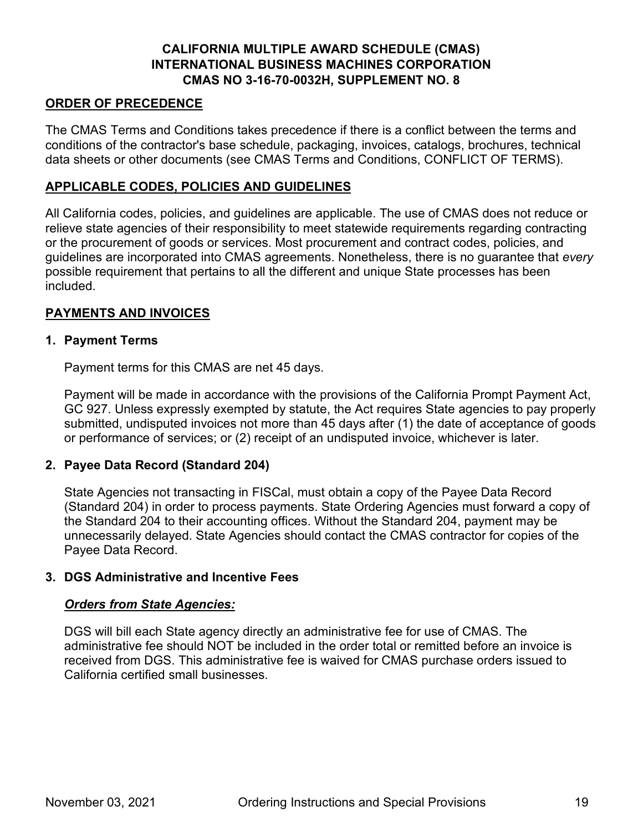# **ORDER OF PRECEDENCE**

The CMAS Terms and Conditions takes precedence if there is a conflict between the terms and conditions of the contractor's base schedule, packaging, invoices, catalogs, brochures, technical data sheets or other documents (see CMAS Terms and Conditions, CONFLICT OF TERMS).

# **APPLICABLE CODES, POLICIES AND GUIDELINES**

All California codes, policies, and guidelines are applicable. The use of CMAS does not reduce or relieve state agencies of their responsibility to meet statewide requirements regarding contracting or the procurement of goods or services. Most procurement and contract codes, policies, and guidelines are incorporated into CMAS agreements. Nonetheless, there is no guarantee that *every* possible requirement that pertains to all the different and unique State processes has been included.

# **PAYMENTS AND INVOICES**

# **1. Payment Terms**

Payment terms for this CMAS are net 45 days.

Payment will be made in accordance with the provisions of the California Prompt Payment Act, GC 927. Unless expressly exempted by statute, the Act requires State agencies to pay properly submitted, undisputed invoices not more than 45 days after (1) the date of acceptance of goods or performance of services; or (2) receipt of an undisputed invoice, whichever is later.

# **2. Payee Data Record (Standard 204)**

State Agencies not transacting in FISCal, must obtain a copy of the Payee Data Record (Standard 204) in order to process payments. State Ordering Agencies must forward a copy of the Standard 204 to their accounting offices. Without the Standard 204, payment may be unnecessarily delayed. State Agencies should contact the CMAS contractor for copies of the Payee Data Record.

# **3. DGS Administrative and Incentive Fees**

#### *Orders from State Agencies:*

DGS will bill each State agency directly an administrative fee for use of CMAS. The administrative fee should NOT be included in the order total or remitted before an invoice is received from DGS. This administrative fee is waived for CMAS purchase orders issued to California certified small businesses.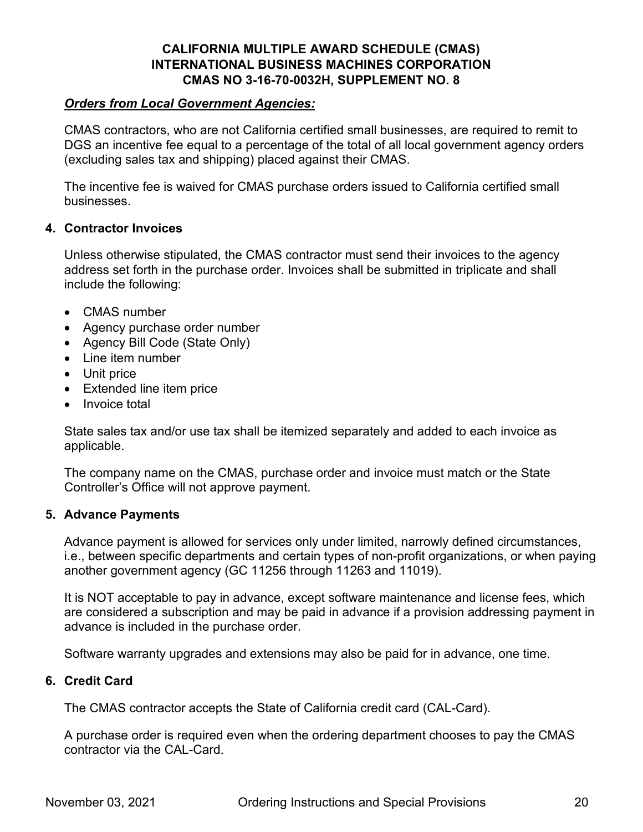# *Orders from Local Government Agencies:*

CMAS contractors, who are not California certified small businesses, are required to remit to DGS an incentive fee equal to a percentage of the total of all local government agency orders (excluding sales tax and shipping) placed against their CMAS.

The incentive fee is waived for CMAS purchase orders issued to California certified small businesses.

#### **4. Contractor Invoices**

Unless otherwise stipulated, the CMAS contractor must send their invoices to the agency address set forth in the purchase order. Invoices shall be submitted in triplicate and shall include the following:

- CMAS number
- Agency purchase order number
- Agency Bill Code (State Only)
- Line item number
- Unit price
- Extended line item price
- Invoice total

State sales tax and/or use tax shall be itemized separately and added to each invoice as applicable.

The company name on the CMAS, purchase order and invoice must match or the State Controller's Office will not approve payment.

#### **5. Advance Payments**

Advance payment is allowed for services only under limited, narrowly defined circumstances, i.e., between specific departments and certain types of non-profit organizations, or when paying another government agency (GC 11256 through 11263 and 11019).

It is NOT acceptable to pay in advance, except software maintenance and license fees, which are considered a subscription and may be paid in advance if a provision addressing payment in advance is included in the purchase order.

Software warranty upgrades and extensions may also be paid for in advance, one time.

#### **6. Credit Card**

The CMAS contractor accepts the State of California credit card (CAL-Card).

A purchase order is required even when the ordering department chooses to pay the CMAS contractor via the CAL-Card.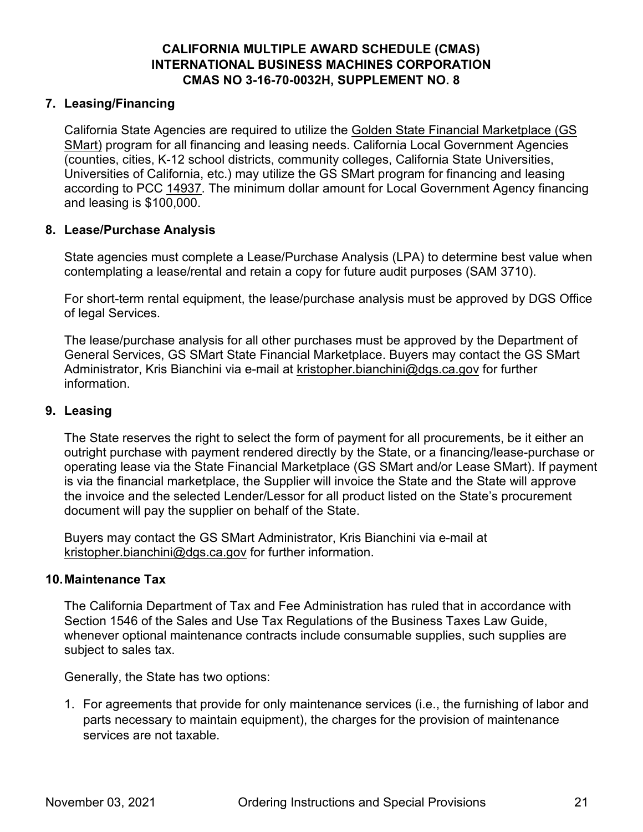# **7. Leasing/Financing**

California State Agencies are required to utilize the [Golden State Financial Marketplace \(GS](https://www.dgs.ca.gov/PD/Resources/Page-Content/Procurement-Division-Resources-List-Folder/GS-$Mart-Frequently-Asked-Questions?search=GS%20SMART)  [SMart\)](https://www.dgs.ca.gov/PD/Resources/Page-Content/Procurement-Division-Resources-List-Folder/GS-$Mart-Frequently-Asked-Questions?search=GS%20SMART) program for all financing and leasing needs. California Local Government Agencies (counties, cities, K-12 school districts, community colleges, California State Universities, Universities of California, etc.) may utilize the GS SMart program for financing and leasing according to PCC [14937.](https://leginfo.legislature.ca.gov/faces/codes_displaySection.xhtml?lawCode=GOV§ionNum=14937.) The minimum dollar amount for Local Government Agency financing and leasing is \$100,000.

# **8. Lease/Purchase Analysis**

State agencies must complete a Lease/Purchase Analysis (LPA) to determine best value when contemplating a lease/rental and retain a copy for future audit purposes (SAM 3710).

For short-term rental equipment, the lease/purchase analysis must be approved by DGS Office of legal Services.

The lease/purchase analysis for all other purchases must be approved by the Department of General Services, GS SMart State Financial Marketplace. Buyers may contact the GS SMart Administrator, [Kris](mailto:patrick.mullen@dgs.ca.gov) Bianchini via e-mail at [kristopher.bianchini@dgs.ca.gov](mailto:kristopher.bianchini@dgs.ca.gov) for further information.

#### **9. Leasing**

The State reserves the right to select the form of payment for all procurements, be it either an outright purchase with payment rendered directly by the State, or a financing/lease-purchase or operating lease via the State Financial Marketplace (GS SMart and/or Lease SMart). If payment is via the financial marketplace, the Supplier will invoice the State and the State will approve the invoice and the selected Lender/Lessor for all product listed on the State's procurement document will pay the supplier on behalf of the State.

Buyers may contact the GS SMart Administrator, [Kris](mailto:patrick.mullen@dgs.ca.gov) Bianchini via e-mail at [kristopher.bianchini@dgs.ca.gov](mailto:kristopher.bianchini@dgs.ca.gov) for further information.

#### **10.Maintenance Tax**

The California Department of Tax and Fee Administration has ruled that in accordance with Section 1546 of the Sales and Use Tax Regulations of the Business Taxes Law Guide, whenever optional maintenance contracts include consumable supplies, such supplies are subject to sales tax.

Generally, the State has two options:

1. For agreements that provide for only maintenance services (i.e., the furnishing of labor and parts necessary to maintain equipment), the charges for the provision of maintenance services are not taxable.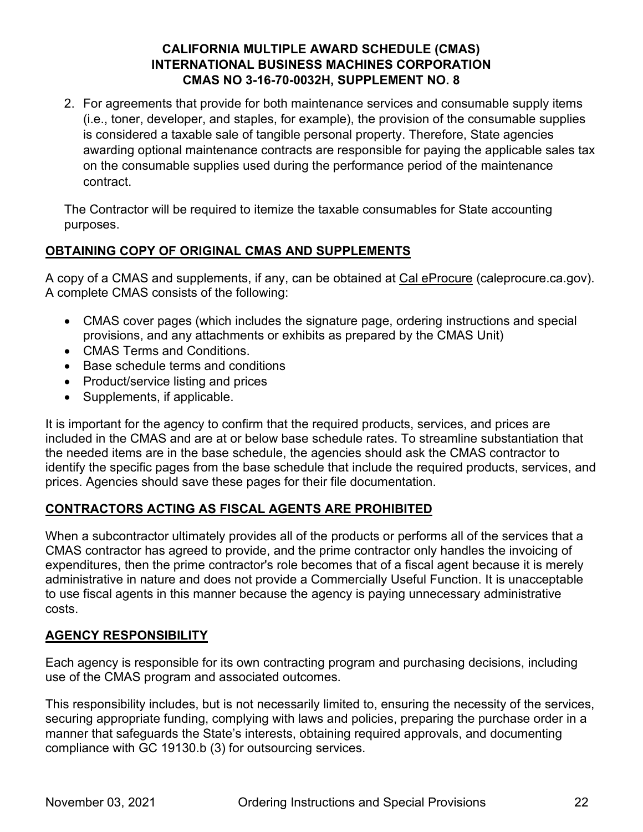2. For agreements that provide for both maintenance services and consumable supply items (i.e., toner, developer, and staples, for example), the provision of the consumable supplies is considered a taxable sale of tangible personal property. Therefore, State agencies awarding optional maintenance contracts are responsible for paying the applicable sales tax on the consumable supplies used during the performance period of the maintenance contract.

The Contractor will be required to itemize the taxable consumables for State accounting purposes.

# **OBTAINING COPY OF ORIGINAL CMAS AND SUPPLEMENTS**

A copy of a CMAS and supplements, if any, can be obtained at [Cal eProcure](https://caleprocure.ca.gov/) (caleprocure.ca.gov). A complete CMAS consists of the following:

- CMAS cover pages (which includes the signature page, ordering instructions and special provisions, and any attachments or exhibits as prepared by the CMAS Unit)
- CMAS Terms and Conditions.
- Base schedule terms and conditions
- Product/service listing and prices
- Supplements, if applicable.

It is important for the agency to confirm that the required products, services, and prices are included in the CMAS and are at or below base schedule rates. To streamline substantiation that the needed items are in the base schedule, the agencies should ask the CMAS contractor to identify the specific pages from the base schedule that include the required products, services, and prices. Agencies should save these pages for their file documentation.

# **CONTRACTORS ACTING AS FISCAL AGENTS ARE PROHIBITED**

When a subcontractor ultimately provides all of the products or performs all of the services that a CMAS contractor has agreed to provide, and the prime contractor only handles the invoicing of expenditures, then the prime contractor's role becomes that of a fiscal agent because it is merely administrative in nature and does not provide a Commercially Useful Function. It is unacceptable to use fiscal agents in this manner because the agency is paying unnecessary administrative costs.

# **AGENCY RESPONSIBILITY**

Each agency is responsible for its own contracting program and purchasing decisions, including use of the CMAS program and associated outcomes.

This responsibility includes, but is not necessarily limited to, ensuring the necessity of the services, securing appropriate funding, complying with laws and policies, preparing the purchase order in a manner that safeguards the State's interests, obtaining required approvals, and documenting compliance with GC 19130.b (3) for outsourcing services.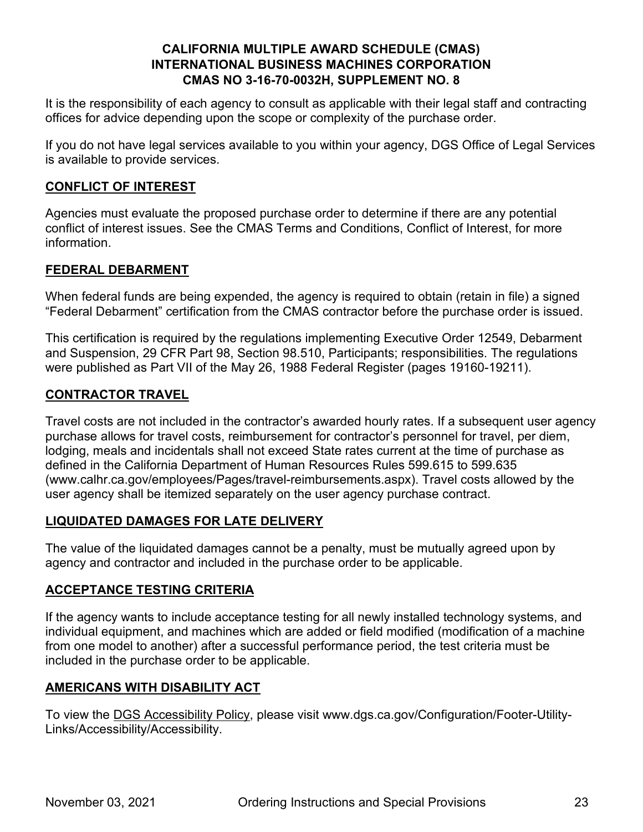It is the responsibility of each agency to consult as applicable with their legal staff and contracting offices for advice depending upon the scope or complexity of the purchase order.

If you do not have legal services available to you within your agency, DGS Office of Legal Services is available to provide services.

# **CONFLICT OF INTEREST**

Agencies must evaluate the proposed purchase order to determine if there are any potential conflict of interest issues. See the CMAS Terms and Conditions, Conflict of Interest, for more information.

# **FEDERAL DEBARMENT**

When federal funds are being expended, the agency is required to obtain (retain in file) a signed "Federal Debarment" certification from the CMAS contractor before the purchase order is issued.

This certification is required by the regulations implementing Executive Order 12549, Debarment and Suspension, 29 CFR Part 98, Section 98.510, Participants; responsibilities. The regulations were published as Part VII of the May 26, 1988 Federal Register (pages 19160-19211).

# **CONTRACTOR TRAVEL**

Travel costs are not included in the contractor's awarded hourly rates. If a subsequent user agency purchase allows for travel costs, reimbursement for contractor's personnel for travel, per diem, lodging, meals and incidentals shall not exceed State rates current at the time of purchase as defined in the California Department of Human Resources Rules 599.615 to 599.635 (www.calhr.ca.gov/employees/Pages/travel-reimbursements.aspx). Travel costs allowed by the user agency shall be itemized separately on the user agency purchase contract.

# **LIQUIDATED DAMAGES FOR LATE DELIVERY**

The value of the liquidated damages cannot be a penalty, must be mutually agreed upon by agency and contractor and included in the purchase order to be applicable.

# **ACCEPTANCE TESTING CRITERIA**

If the agency wants to include acceptance testing for all newly installed technology systems, and individual equipment, and machines which are added or field modified (modification of a machine from one model to another) after a successful performance period, the test criteria must be included in the purchase order to be applicable.

# **AMERICANS WITH DISABILITY ACT**

To view the [DGS Accessibility Policy,](http://www.dgs.ca.gov/Configuration/Footer-Utility-Links/Accessibility/Accessibility) please visit www.dgs.ca.gov/Configuration/Footer-Utility-Links/Accessibility/Accessibility.